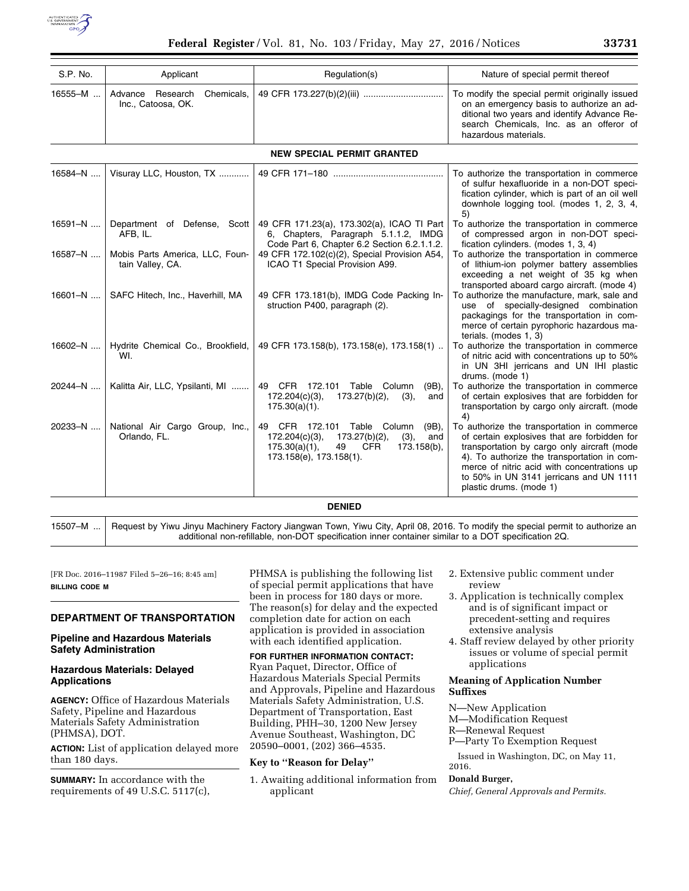

| S.P. No.                          | Applicant          |  | Regulation(s) | Nature of special permit thereof                                                                                                                                                                              |  |
|-----------------------------------|--------------------|--|---------------|---------------------------------------------------------------------------------------------------------------------------------------------------------------------------------------------------------------|--|
| 16555-M  I                        | Inc., Catoosa, OK. |  |               | To modify the special permit originally issued<br>on an emergency basis to authorize an ad-<br>ditional two years and identify Advance Re-<br>search Chemicals, Inc. as an offeror of<br>hazardous materials. |  |
| <b>NEW SPECIAL PERMIT GRANTED</b> |                    |  |               |                                                                                                                                                                                                               |  |

| 16584-N     | Visuray LLC, Houston, TX                            |                                                                                                                                                                                   | To authorize the transportation in commerce<br>of sulfur hexafluoride in a non-DOT speci-<br>fication cylinder, which is part of an oil well<br>downhole logging tool. (modes 1, 2, 3, 4,<br>5)                                                                                                                |
|-------------|-----------------------------------------------------|-----------------------------------------------------------------------------------------------------------------------------------------------------------------------------------|----------------------------------------------------------------------------------------------------------------------------------------------------------------------------------------------------------------------------------------------------------------------------------------------------------------|
| 16591-N     | Department of Defense, Scott<br>AFB, IL.            | 49 CFR 171.23(a), 173.302(a), ICAO TI Part<br>6, Chapters, Paragraph 5.1.1.2, IMDG<br>Code Part 6, Chapter 6.2 Section 6.2.1.1.2.                                                 | To authorize the transportation in commerce<br>of compressed argon in non-DOT speci-<br>fication cylinders. (modes 1, 3, 4)                                                                                                                                                                                    |
| 16587-N     | Mobis Parts America, LLC, Foun-<br>tain Valley, CA. | 49 CFR 172.102(c)(2), Special Provision A54,<br>ICAO T1 Special Provision A99.                                                                                                    | To authorize the transportation in commerce<br>of lithium-ion polymer battery assemblies<br>exceeding a net weight of 35 kg when<br>transported aboard cargo aircraft. (mode 4)                                                                                                                                |
| $16601 - N$ | SAFC Hitech, Inc., Haverhill, MA                    | 49 CFR 173.181(b), IMDG Code Packing In-<br>struction P400, paragraph (2).                                                                                                        | To authorize the manufacture, mark, sale and<br>use of specially-designed combination<br>packagings for the transportation in com-<br>merce of certain pyrophoric hazardous ma-<br>terials. (modes 1, 3)                                                                                                       |
| 16602-N     | Hydrite Chemical Co., Brookfield,<br>WI.            | 49 CFR 173.158(b), 173.158(e), 173.158(1)                                                                                                                                         | To authorize the transportation in commerce<br>of nitric acid with concentrations up to 50%<br>in UN 3HI jerricans and UN IHI plastic<br>drums. (mode 1)                                                                                                                                                       |
| 20244-N     | Kalitta Air, LLC, Ypsilanti, MI                     | 49 CFR 172.101<br>Table Column<br>$(9B)$ ,<br>$173.27(b)(2)$ ,<br>172.204(c)(3),<br>(3),<br>and<br>$175.30(a)(1)$ .                                                               | To authorize the transportation in commerce<br>of certain explosives that are forbidden for<br>transportation by cargo only aircraft. (mode<br>4)                                                                                                                                                              |
| 20233-N     | National Air Cargo Group, Inc.,<br>Orlando, FL.     | 49 CFR 172.101<br>Table Column<br>(9B),<br>$173.27(b)(2)$ ,<br>$172.204(c)(3)$ ,<br>(3),<br>and<br>175.30(a)(1),<br>49<br><b>CFR</b><br>$173.158(b)$ ,<br>173.158(e), 173.158(1). | To authorize the transportation in commerce<br>of certain explosives that are forbidden for<br>transportation by cargo only aircraft (mode<br>4). To authorize the transportation in com-<br>merce of nitric acid with concentrations up<br>to 50% in UN 3141 jerricans and UN 1111<br>plastic drums. (mode 1) |

#### **DENIED**

15507–M ... Request by Yiwu Jinyu Machinery Factory Jiangwan Town, Yiwu City, April 08, 2016. To modify the special permit to authorize an additional non-refillable, non-DOT specification inner container similar to a DOT specification 2Q.

[FR Doc. 2016–11987 Filed 5–26–16; 8:45 am] **BILLING CODE M** 

# **DEPARTMENT OF TRANSPORTATION**

## **Pipeline and Hazardous Materials Safety Administration**

### **Hazardous Materials: Delayed Applications**

**AGENCY:** Office of Hazardous Materials Safety, Pipeline and Hazardous Materials Safety Administration (PHMSA), DOT.

**ACTION:** List of application delayed more than 180 days.

**SUMMARY:** In accordance with the requirements of 49 U.S.C. 5117(c), PHMSA is publishing the following list of special permit applications that have been in process for 180 days or more. The reason(s) for delay and the expected completion date for action on each application is provided in association with each identified application.

# **FOR FURTHER INFORMATION CONTACT:**

Ryan Paquet, Director, Office of Hazardous Materials Special Permits and Approvals, Pipeline and Hazardous Materials Safety Administration, U.S. Department of Transportation, East Building, PHH–30, 1200 New Jersey Avenue Southeast, Washington, DC 20590–0001, (202) 366–4535.

# **Key to ''Reason for Delay''**

1. Awaiting additional information from applicant

- 2. Extensive public comment under review
- 3. Application is technically complex and is of significant impact or precedent-setting and requires extensive analysis
- 4. Staff review delayed by other priority issues or volume of special permit applications

## **Meaning of Application Number Suffixes**

N—New Application

- M—Modification Request
- R—Renewal Request
- P—Party To Exemption Request

Issued in Washington, DC, on May 11, 2016.

#### **Donald Burger,**

*Chief, General Approvals and Permits.*